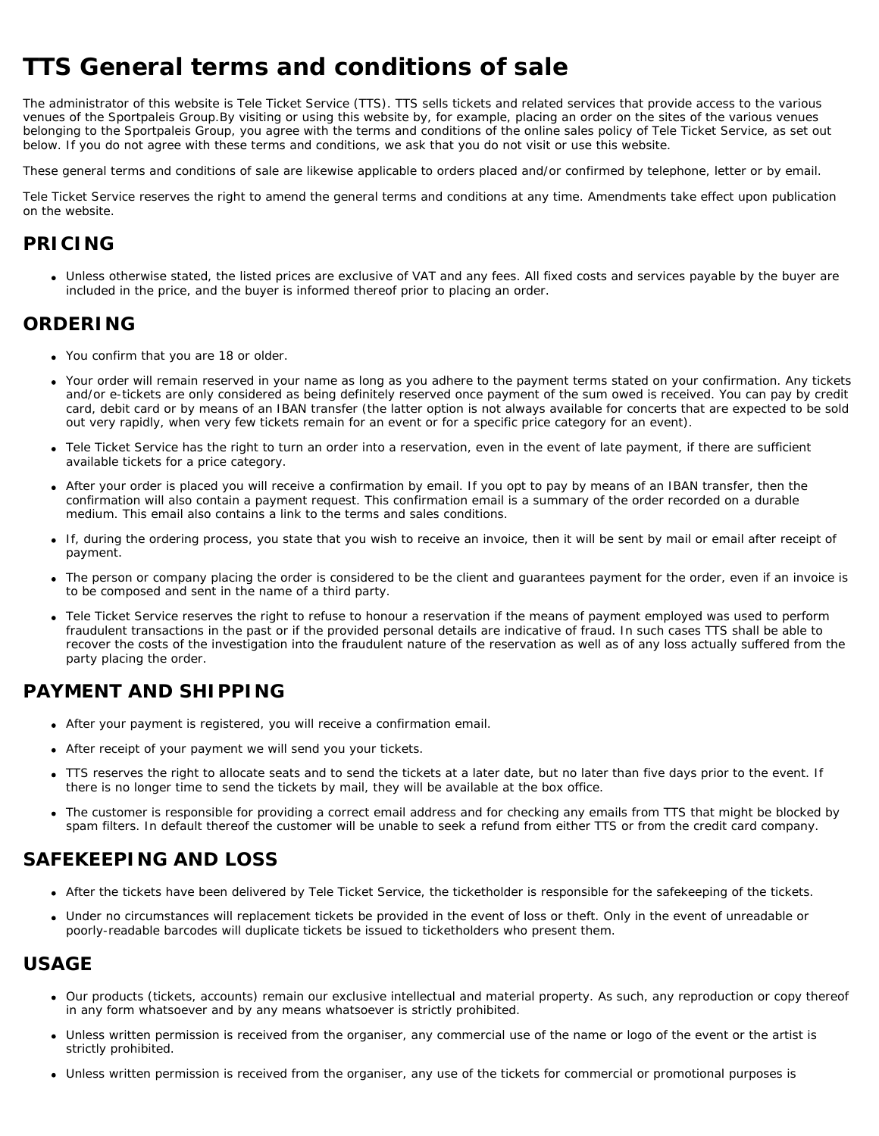# **TTS General terms and conditions of sale**

The administrator of this website is Tele Ticket Service (TTS). TTS sells tickets and related services that provide access to the various venues of the Sportpaleis Group.By visiting or using this website by, for example, placing an order on the sites of the various venues belonging to the Sportpaleis Group, you agree with the terms and conditions of the online sales policy of Tele Ticket Service, as set out below. If you do not agree with these terms and conditions, we ask that you do not visit or use this website.

These general terms and conditions of sale are likewise applicable to orders placed and/or confirmed by telephone, letter or by email.

Tele Ticket Service reserves the right to amend the general terms and conditions at any time. Amendments take effect upon publication on the website.

#### **PRICING**

Unless otherwise stated, the listed prices are exclusive of VAT and any fees. All fixed costs and services payable by the buyer are included in the price, and the buyer is informed thereof prior to placing an order.

#### **ORDERING**

- You confirm that you are 18 or older.
- Your order will remain reserved in your name as long as you adhere to the payment terms stated on your confirmation. Any tickets and/or e-tickets are only considered as being definitely reserved once payment of the sum owed is received. You can pay by credit card, debit card or by means of an IBAN transfer (the latter option is not always available for concerts that are expected to be sold out very rapidly, when very few tickets remain for an event or for a specific price category for an event).
- Tele Ticket Service has the right to turn an order into a reservation, even in the event of late payment, if there are sufficient available tickets for a price category.
- After your order is placed you will receive a confirmation by email. If you opt to pay by means of an IBAN transfer, then the confirmation will also contain a payment request. This confirmation email is a summary of the order recorded on a durable medium. This email also contains a link to the terms and sales conditions.
- If, during the ordering process, you state that you wish to receive an invoice, then it will be sent by mail or email after receipt of payment.
- The person or company placing the order is considered to be the client and guarantees payment for the order, even if an invoice is to be composed and sent in the name of a third party.
- Tele Ticket Service reserves the right to refuse to honour a reservation if the means of payment employed was used to perform fraudulent transactions in the past or if the provided personal details are indicative of fraud. In such cases TTS shall be able to recover the costs of the investigation into the fraudulent nature of the reservation as well as of any loss actually suffered from the party placing the order.

# **PAYMENT AND SHIPPING**

- After your payment is registered, you will receive a confirmation email.
- After receipt of your payment we will send you your tickets.
- TTS reserves the right to allocate seats and to send the tickets at a later date, but no later than five days prior to the event. If there is no longer time to send the tickets by mail, they will be available at the box office.
- The customer is responsible for providing a correct email address and for checking any emails from TTS that might be blocked by spam filters. In default thereof the customer will be unable to seek a refund from either TTS or from the credit card company.

#### **SAFEKEEPING AND LOSS**

- After the tickets have been delivered by Tele Ticket Service, the ticketholder is responsible for the safekeeping of the tickets.
- Under no circumstances will replacement tickets be provided in the event of loss or theft. Only in the event of unreadable or poorly-readable barcodes will duplicate tickets be issued to ticketholders who present them.

#### **USAGE**

- Our products (tickets, accounts) remain our exclusive intellectual and material property. As such, any reproduction or copy thereof in any form whatsoever and by any means whatsoever is strictly prohibited.
- Unless written permission is received from the organiser, any commercial use of the name or logo of the event or the artist is strictly prohibited.
- Unless written permission is received from the organiser, any use of the tickets for commercial or promotional purposes is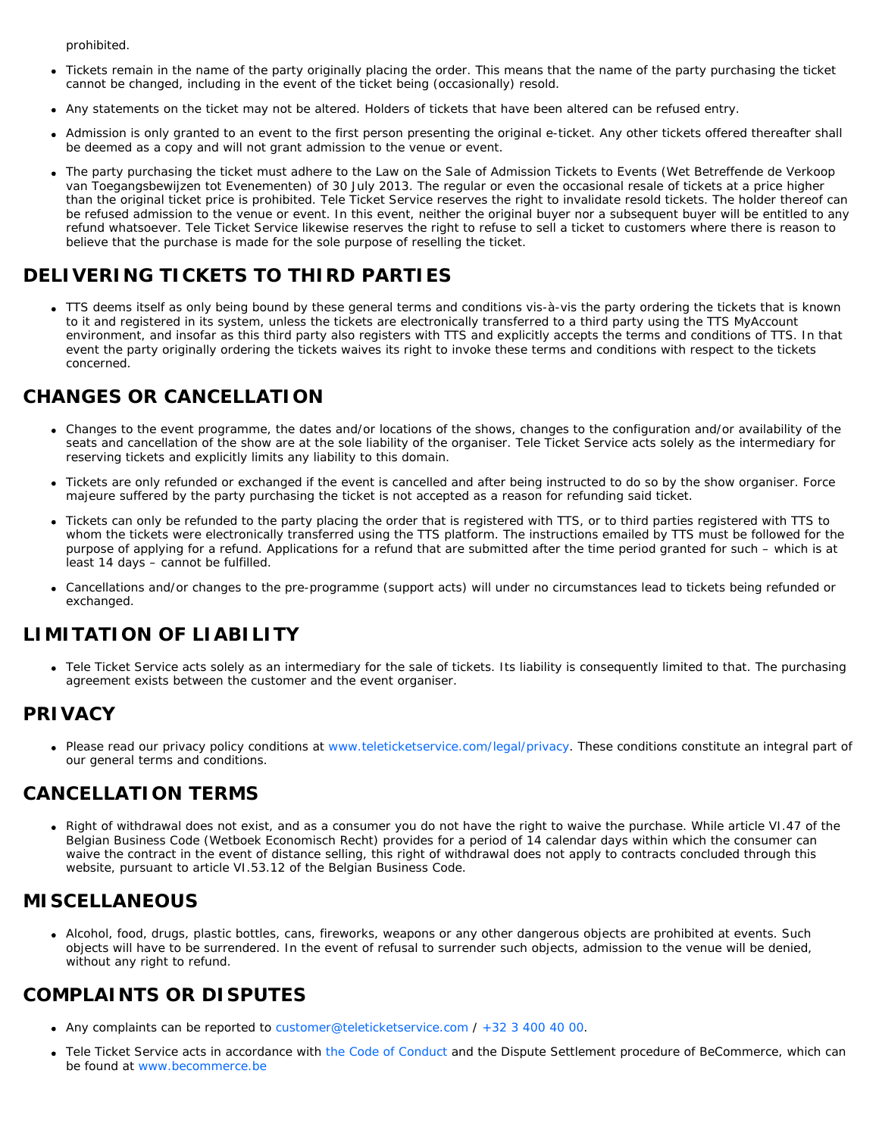prohibited.

- Tickets remain in the name of the party originally placing the order. This means that the name of the party purchasing the ticket cannot be changed, including in the event of the ticket being (occasionally) resold.
- Any statements on the ticket may not be altered. Holders of tickets that have been altered can be refused entry.
- Admission is only granted to an event to the first person presenting the original e-ticket. Any other tickets offered thereafter shall be deemed as a copy and will not grant admission to the venue or event.
- The party purchasing the ticket must adhere to the Law on the Sale of Admission Tickets to Events (Wet Betreffende de Verkoop van Toegangsbewijzen tot Evenementen) of 30 July 2013. The regular or even the occasional resale of tickets at a price higher than the original ticket price is prohibited. Tele Ticket Service reserves the right to invalidate resold tickets. The holder thereof can be refused admission to the venue or event. In this event, neither the original buyer nor a subsequent buyer will be entitled to any refund whatsoever. Tele Ticket Service likewise reserves the right to refuse to sell a ticket to customers where there is reason to believe that the purchase is made for the sole purpose of reselling the ticket.

# **DELIVERING TICKETS TO THIRD PARTIES**

TTS deems itself as only being bound by these general terms and conditions vis-à-vis the party ordering the tickets that is known to it and registered in its system, unless the tickets are electronically transferred to a third party using the TTS MyAccount environment, and insofar as this third party also registers with TTS and explicitly accepts the terms and conditions of TTS. In that event the party originally ordering the tickets waives its right to invoke these terms and conditions with respect to the tickets concerned.

# **CHANGES OR CANCELLATION**

- Changes to the event programme, the dates and/or locations of the shows, changes to the configuration and/or availability of the seats and cancellation of the show are at the sole liability of the organiser. Tele Ticket Service acts solely as the intermediary for reserving tickets and explicitly limits any liability to this domain.
- Tickets are only refunded or exchanged if the event is cancelled and after being instructed to do so by the show organiser. Force majeure suffered by the party purchasing the ticket is not accepted as a reason for refunding said ticket.
- Tickets can only be refunded to the party placing the order that is registered with TTS, or to third parties registered with TTS to whom the tickets were electronically transferred using the TTS platform. The instructions emailed by TTS must be followed for the purpose of applying for a refund. Applications for a refund that are submitted after the time period granted for such – which is at least 14 days – cannot be fulfilled.
- Cancellations and/or changes to the pre-programme (support acts) will under no circumstances lead to tickets being refunded or exchanged.

# **LIMITATION OF LIABILITY**

Tele Ticket Service acts solely as an intermediary for the sale of tickets. Its liability is consequently limited to that. The purchasing agreement exists between the customer and the event organiser.

#### **PRIVACY**

• Please read our privacy policy conditions at [www.teleticketservice.com/legal/privacy](https://www.teleticketservice.com/en/legal/privacy). These conditions constitute an integral part of our general terms and conditions.

#### **CANCELLATION TERMS**

Right of withdrawal does not exist, and as a consumer you do not have the right to waive the purchase. While article VI.47 of the Belgian Business Code (Wetboek Economisch Recht) provides for a period of 14 calendar days within which the consumer can waive the contract in the event of distance selling, this right of withdrawal does not apply to contracts concluded through this website, pursuant to article VI.53.12 of the Belgian Business Code.

# **MISCELLANEOUS**

Alcohol, food, drugs, plastic bottles, cans, fireworks, weapons or any other dangerous objects are prohibited at events. Such objects will have to be surrendered. In the event of refusal to surrender such objects, admission to the venue will be denied, without any right to refund.

# **COMPLAINTS OR DISPUTES**

- Any complaints can be reported to [customer@teleticketservice.com](mailto:customer@teleticketservice.com)  $/ +32334004000$ .
- Tele Ticket Service acts in accordance with [the Code of Conduct](https://www.becommerce.be/files/Code_de_conduite_du_Label_de_Qualite_BeCommerce.pdf) and the Dispute Settlement procedure of BeCommerce, which can be found at [www.becommerce.be](https://www.becommerce.be/)